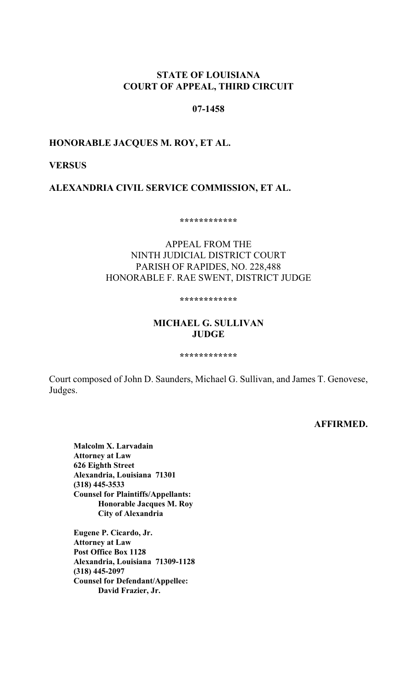## **STATE OF LOUISIANA COURT OF APPEAL, THIRD CIRCUIT**

### **07-1458**

### **HONORABLE JACQUES M. ROY, ET AL.**

### **VERSUS**

**ALEXANDRIA CIVIL SERVICE COMMISSION, ET AL.**

**\*\*\*\*\*\*\*\*\*\*\*\***

## APPEAL FROM THE NINTH JUDICIAL DISTRICT COURT PARISH OF RAPIDES, NO. 228,488 HONORABLE F. RAE SWENT, DISTRICT JUDGE

#### **\*\*\*\*\*\*\*\*\*\*\*\***

### **MICHAEL G. SULLIVAN JUDGE**

#### **\*\*\*\*\*\*\*\*\*\*\*\***

Court composed of John D. Saunders, Michael G. Sullivan, and James T. Genovese, Judges.

#### **AFFIRMED.**

**Malcolm X. Larvadain Attorney at Law 626 Eighth Street Alexandria, Louisiana 71301 (318) 445-3533 Counsel for Plaintiffs/Appellants: Honorable Jacques M. Roy City of Alexandria**

**Eugene P. Cicardo, Jr. Attorney at Law Post Office Box 1128 Alexandria, Louisiana 71309-1128 (318) 445-2097 Counsel for Defendant/Appellee: David Frazier, Jr.**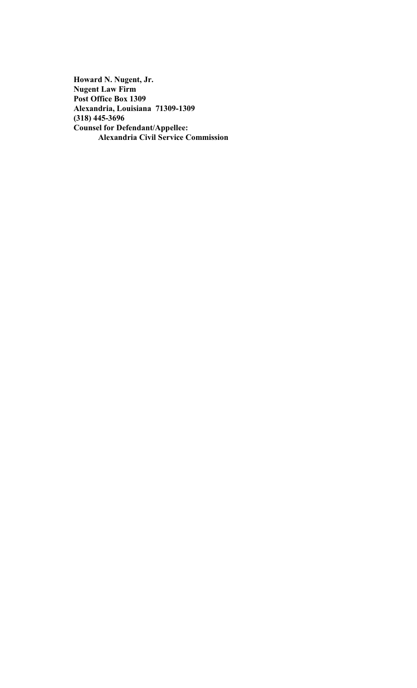**Howard N. Nugent, Jr. Nugent Law Firm Post Office Box 1309 Alexandria, Louisiana 71309-1309 (318) 445-3696 Counsel for Defendant/Appellee: Alexandria Civil Service Commission**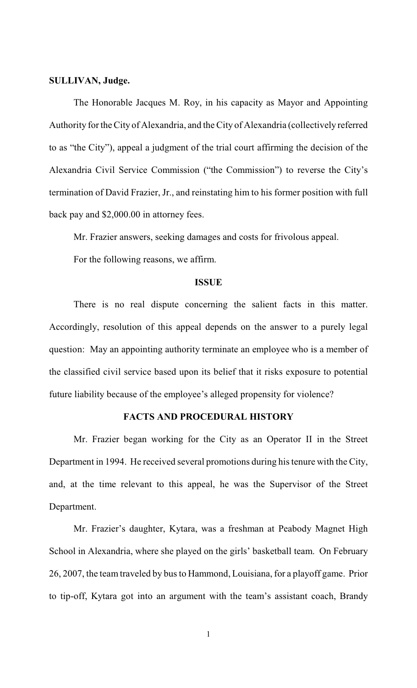#### **SULLIVAN, Judge.**

The Honorable Jacques M. Roy, in his capacity as Mayor and Appointing Authority for the City of Alexandria, and the City of Alexandria (collectively referred to as "the City"), appeal a judgment of the trial court affirming the decision of the Alexandria Civil Service Commission ("the Commission") to reverse the City's termination of David Frazier, Jr., and reinstating him to his former position with full back pay and \$2,000.00 in attorney fees.

Mr. Frazier answers, seeking damages and costs for frivolous appeal.

For the following reasons, we affirm.

#### **ISSUE**

There is no real dispute concerning the salient facts in this matter. Accordingly, resolution of this appeal depends on the answer to a purely legal question: May an appointing authority terminate an employee who is a member of the classified civil service based upon its belief that it risks exposure to potential future liability because of the employee's alleged propensity for violence?

### **FACTS AND PROCEDURAL HISTORY**

Mr. Frazier began working for the City as an Operator II in the Street Department in 1994. He received several promotions during his tenure with the City, and, at the time relevant to this appeal, he was the Supervisor of the Street Department.

Mr. Frazier's daughter, Kytara, was a freshman at Peabody Magnet High School in Alexandria, where she played on the girls' basketball team. On February 26, 2007, the team traveled by bus to Hammond, Louisiana, for a playoff game. Prior to tip-off, Kytara got into an argument with the team's assistant coach, Brandy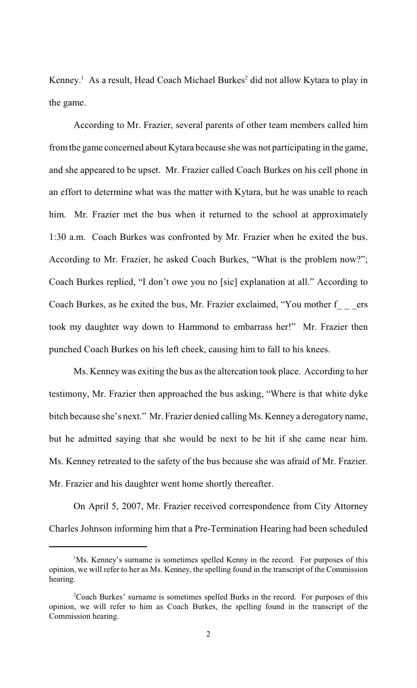Kenney.<sup>1</sup> As a result, Head Coach Michael Burkes<sup>2</sup> did not allow Kytara to play in the game.

According to Mr. Frazier, several parents of other team members called him fromthe game concerned about Kytara because she was not participating in the game, and she appeared to be upset. Mr. Frazier called Coach Burkes on his cell phone in an effort to determine what was the matter with Kytara, but he was unable to reach him. Mr. Frazier met the bus when it returned to the school at approximately 1:30 a.m. Coach Burkes was confronted by Mr. Frazier when he exited the bus. According to Mr. Frazier, he asked Coach Burkes, "What is the problem now?"; Coach Burkes replied, "I don't owe you no [sic] explanation at all." According to Coach Burkes, as he exited the bus, Mr. Frazier exclaimed, "You mother f crs took my daughter way down to Hammond to embarrass her!" Mr. Frazier then punched Coach Burkes on his left cheek, causing him to fall to his knees.

Ms. Kenney was exiting the bus as the altercation took place. According to her testimony, Mr. Frazier then approached the bus asking, "Where is that white dyke bitch because she's next." Mr. Frazier denied calling Ms. Kenney a derogatory name, but he admitted saying that she would be next to be hit if she came near him. Ms. Kenney retreated to the safety of the bus because she was afraid of Mr. Frazier. Mr. Frazier and his daughter went home shortly thereafter.

On April 5, 2007, Mr. Frazier received correspondence from City Attorney Charles Johnson informing him that a Pre-Termination Hearing had been scheduled

<sup>&</sup>lt;sup>1</sup>Ms. Kenney's surname is sometimes spelled Kenny in the record. For purposes of this opinion, we will refer to her as Ms. Kenney, the spelling found in the transcript of the Commission hearing.

<sup>&</sup>lt;sup>2</sup>Coach Burkes' surname is sometimes spelled Burks in the record. For purposes of this opinion, we will refer to him as Coach Burkes, the spelling found in the transcript of the Commission hearing.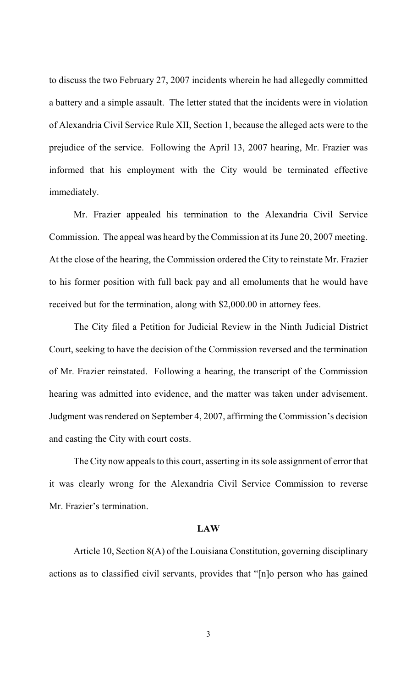to discuss the two February 27, 2007 incidents wherein he had allegedly committed a battery and a simple assault. The letter stated that the incidents were in violation of Alexandria Civil Service Rule XII, Section 1, because the alleged acts were to the prejudice of the service. Following the April 13, 2007 hearing, Mr. Frazier was informed that his employment with the City would be terminated effective immediately.

Mr. Frazier appealed his termination to the Alexandria Civil Service Commission. The appeal was heard by the Commission at its June 20, 2007 meeting. At the close of the hearing, the Commission ordered the City to reinstate Mr. Frazier to his former position with full back pay and all emoluments that he would have received but for the termination, along with \$2,000.00 in attorney fees.

The City filed a Petition for Judicial Review in the Ninth Judicial District Court, seeking to have the decision of the Commission reversed and the termination of Mr. Frazier reinstated. Following a hearing, the transcript of the Commission hearing was admitted into evidence, and the matter was taken under advisement. Judgment was rendered on September 4, 2007, affirming the Commission's decision and casting the City with court costs.

The City now appeals to this court, asserting in its sole assignment of error that it was clearly wrong for the Alexandria Civil Service Commission to reverse Mr. Frazier's termination.

#### **LAW**

Article 10, Section 8(A) of the Louisiana Constitution, governing disciplinary actions as to classified civil servants, provides that "[n]o person who has gained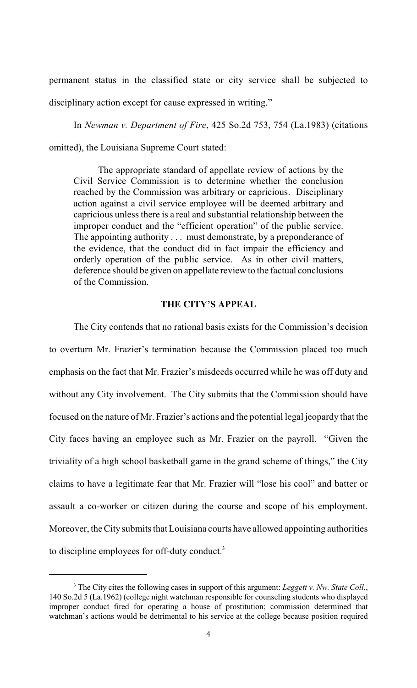permanent status in the classified state or city service shall be subjected to disciplinary action except for cause expressed in writing."

In *Newman v. Department of Fire*, 425 So.2d 753, 754 (La.1983) (citations omitted), the Louisiana Supreme Court stated:

The appropriate standard of appellate review of actions by the Civil Service Commission is to determine whether the conclusion reached by the Commission was arbitrary or capricious. Disciplinary action against a civil service employee will be deemed arbitrary and capricious unless there is a real and substantial relationship between the improper conduct and the "efficient operation" of the public service. The appointing authority . . . must demonstrate, by a preponderance of the evidence, that the conduct did in fact impair the efficiency and orderly operation of the public service. As in other civil matters, deference should be given on appellate review to the factual conclusions of the Commission.

### **THE CITY'S APPEAL**

The City contends that no rational basis exists for the Commission's decision to overturn Mr. Frazier's termination because the Commission placed too much emphasis on the fact that Mr. Frazier's misdeeds occurred while he was off duty and without any City involvement. The City submits that the Commission should have focused on the nature of Mr. Frazier's actions and the potential legal jeopardy that the City faces having an employee such as Mr. Frazier on the payroll. "Given the triviality of a high school basketball game in the grand scheme of things," the City claims to have a legitimate fear that Mr. Frazier will "lose his cool" and batter or assault a co-worker or citizen during the course and scope of his employment. Moreover, the City submits that Louisiana courts have allowed appointing authorities to discipline employees for off-duty conduct.<sup>3</sup>

<sup>&</sup>lt;sup>3</sup> The City cites the following cases in support of this argument: *Leggett v. Nw. State Coll.*, 140 So.2d 5 (La.1962) (college night watchman responsible for counseling students who displayed improper conduct fired for operating a house of prostitution; commission determined that watchman's actions would be detrimental to his service at the college because position required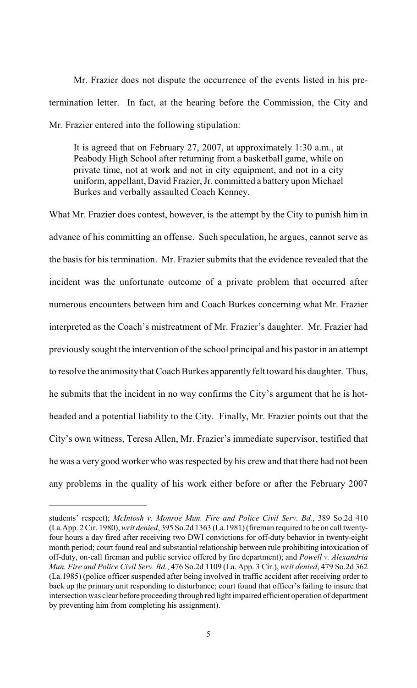Mr. Frazier does not dispute the occurrence of the events listed in his pretermination letter. In fact, at the hearing before the Commission, the City and Mr. Frazier entered into the following stipulation:

It is agreed that on February 27, 2007, at approximately 1:30 a.m., at Peabody High School after returning from a basketball game, while on private time, not at work and not in city equipment, and not in a city uniform, appellant, David Frazier, Jr. committed a battery upon Michael Burkes and verbally assaulted Coach Kenney.

What Mr. Frazier does contest, however, is the attempt by the City to punish him in advance of his committing an offense. Such speculation, he argues, cannot serve as the basis for his termination. Mr. Frazier submits that the evidence revealed that the incident was the unfortunate outcome of a private problem that occurred after numerous encounters between him and Coach Burkes concerning what Mr. Frazier interpreted as the Coach's mistreatment of Mr. Frazier's daughter. Mr. Frazier had previously sought the intervention of the school principal and his pastor in an attempt to resolve the animosity that Coach Burkes apparently felt toward his daughter. Thus, he submits that the incident in no way confirms the City's argument that he is hotheaded and a potential liability to the City. Finally, Mr. Frazier points out that the City's own witness, Teresa Allen, Mr. Frazier's immediate supervisor, testified that he was a very good worker who was respected by his crew and that there had not been any problems in the quality of his work either before or after the February 2007

students' respect); *McIntosh v. Monroe Mun. Fire and Police Civil Serv. Bd.*, 389 So.2d 410 (La.App. 2 Cir. 1980), *writ denied*, 395 So.2d 1363 (La.1981) (fireman required to be on call twentyfour hours a day fired after receiving two DWI convictions for off-duty behavior in twenty-eight month period; court found real and substantial relationship between rule prohibiting intoxication of off-duty, on-call fireman and public service offered by fire department); and *Powell v. Alexandria Mun. Fire and Police Civil Serv. Bd.*, 476 So.2d 1109 (La. App. 3 Cir.), *writ denied*, 479 So.2d 362 (La.1985) (police officer suspended after being involved in traffic accident after receiving order to back up the primary unit responding to disturbance; court found that officer's failing to insure that intersection was clear before proceeding through red light impaired efficient operation of department by preventing him from completing his assignment).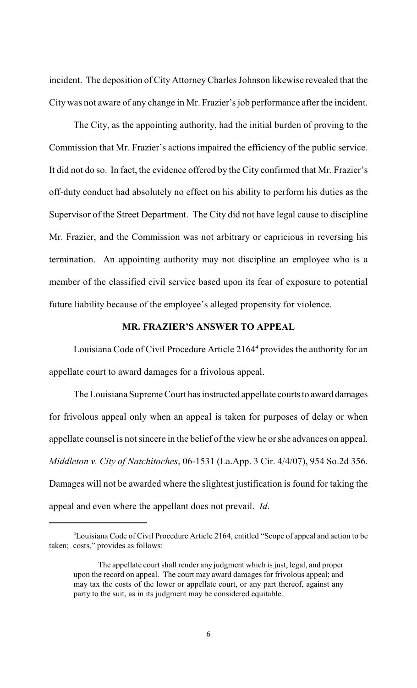incident. The deposition of City AttorneyCharles Johnson likewise revealed that the City was not aware of any change in Mr. Frazier's job performance after the incident.

The City, as the appointing authority, had the initial burden of proving to the Commission that Mr. Frazier's actions impaired the efficiency of the public service. It did not do so. In fact, the evidence offered by the City confirmed that Mr. Frazier's off-duty conduct had absolutely no effect on his ability to perform his duties as the Supervisor of the Street Department. The City did not have legal cause to discipline Mr. Frazier, and the Commission was not arbitrary or capricious in reversing his termination. An appointing authority may not discipline an employee who is a member of the classified civil service based upon its fear of exposure to potential future liability because of the employee's alleged propensity for violence.

### **MR. FRAZIER'S ANSWER TO APPEAL**

Louisiana Code of Civil Procedure Article  $2164<sup>4</sup>$  provides the authority for an appellate court to award damages for a frivolous appeal.

The Louisiana Supreme Court has instructed appellate courts to award damages for frivolous appeal only when an appeal is taken for purposes of delay or when appellate counsel is not sincere in the belief of the view he or she advances on appeal. *Middleton v. City of Natchitoches*, 06-1531 (La.App. 3 Cir. 4/4/07), 954 So.2d 356. Damages will not be awarded where the slightest justification is found for taking the appeal and even where the appellant does not prevail. *Id*.

<sup>&</sup>lt;sup>4</sup>Louisiana Code of Civil Procedure Article 2164, entitled "Scope of appeal and action to be taken; costs," provides as follows:

The appellate court shall render any judgment which is just, legal, and proper upon the record on appeal. The court may award damages for frivolous appeal; and may tax the costs of the lower or appellate court, or any part thereof, against any party to the suit, as in its judgment may be considered equitable.